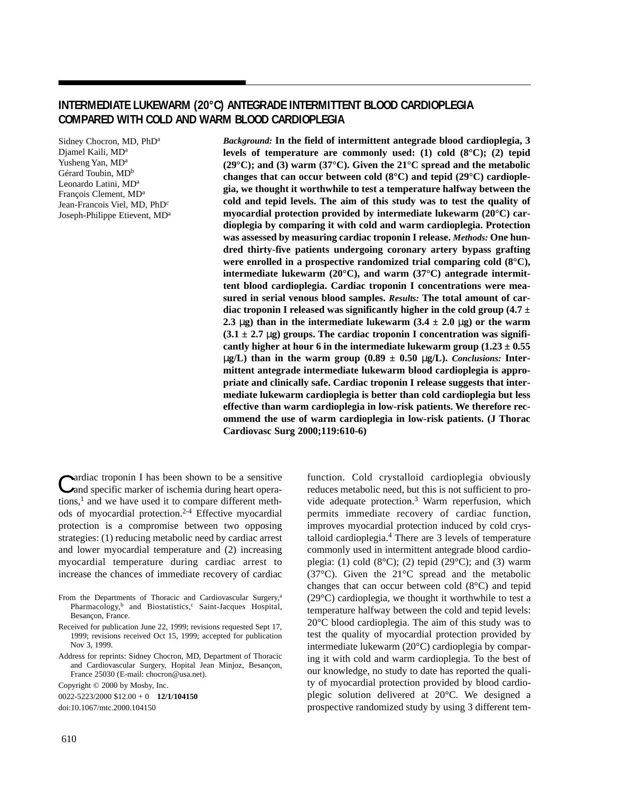# **INTERMEDIATE LUKEWARM (20°C) ANTEGRADE INTERMITTENT BLOOD CARDIOPLEGIA COMPARED WITH COLD AND WARM BLOOD CARDIOPLEGIA**

Sidney Chocron, MD, PhDa Djamel Kaili, MD<sup>a</sup> Yusheng Yan, MD<sup>a</sup> Gérard Toubin, MD<sup>b</sup> Leonardo Latini, MD<sup>a</sup> François Clement, MDa Jean-Francois Viel, MD, PhD<sup>c</sup> Joseph-Philippe Etievent, MDa *Background:* **In the field of intermittent antegrade blood cardioplegia, 3 levels of temperature are commonly used: (1) cold (8°C); (2) tepid (29°C); and (3) warm (37°C). Given the 21°C spread and the metabolic changes that can occur between cold (8°C) and tepid (29°C) cardioplegia, we thought it worthwhile to test a temperature halfway between the cold and tepid levels. The aim of this study was to test the quality of myocardial protection provided by intermediate lukewarm (20°C) cardioplegia by comparing it with cold and warm cardioplegia. Protection was assessed by measuring cardiac troponin I release.** *Methods:* **One hundred thirty-five patients undergoing coronary artery bypass grafting were enrolled in a prospective randomized trial comparing cold (8°C), intermediate lukewarm (20°C), and warm (37°C) antegrade intermittent blood cardioplegia. Cardiac troponin I concentrations were measured in serial venous blood samples.** *Results:* **The total amount of cardiac troponin I released was significantly higher in the cold group (4.7 ± 2.3** µg) than in the intermediate lukewarm  $(3.4 \pm 2.0 \text{ µg})$  or the warm  $(3.1 \pm 2.7 \,\mu$ g) groups. The cardiac troponin I concentration was significantly higher at hour 6 in the intermediate lukewarm group  $(1.23 \pm 0.55)$  $\mu$ **g/L)** than in the warm group (0.89  $\pm$  0.50  $\mu$ **g/L)**. *Conclusions:* Inter**mittent antegrade intermediate lukewarm blood cardioplegia is appropriate and clinically safe. Cardiac troponin I release suggests that intermediate lukewarm cardioplegia is better than cold cardioplegia but less effective than warm cardioplegia in low-risk patients. We therefore recommend the use of warm cardioplegia in low-risk patients. (J Thorac Cardiovasc Surg 2000;119:610-6)**

Cardiac troponin I has been shown to be a sensitive and specific marker of ischemia during heart operations, $<sup>1</sup>$  and we have used it to compare different meth-</sup> ods of myocardial protection.2-4 Effective myocardial protection is a compromise between two opposing strategies: (1) reducing metabolic need by cardiac arrest and lower myocardial temperature and (2) increasing myocardial temperature during cardiac arrest to increase the chances of immediate recovery of cardiac

From the Departments of Thoracic and Cardiovascular Surgery,<sup>a</sup> Pharmacology,<sup>b</sup> and Biostatistics,<sup>c</sup> Saint-Jacques Hospital, Besançon, France.

Received for publication June 22, 1999; revisions requested Sept 17, 1999; revisions received Oct 15, 1999; accepted for publication Nov 3, 1999.

Address for reprints: Sidney Chocron, MD, Department of Thoracic and Cardiovascular Surgery, Hopital Jean Minjoz, Besançon, France 25030 (E-mail: chocron@usa.net).

Copyright © 2000 by Mosby, Inc.

0022-5223/2000 \$12.00 + 0 **12/1/104150**

function. Cold crystalloid cardioplegia obviously reduces metabolic need, but this is not sufficient to provide adequate protection.<sup>3</sup> Warm reperfusion, which permits immediate recovery of cardiac function, improves myocardial protection induced by cold crystalloid cardioplegia.4 There are 3 levels of temperature commonly used in intermittent antegrade blood cardioplegia: (1) cold  $(8^{\circ}C)$ ; (2) tepid (29 $^{\circ}C$ ); and (3) warm (37°C). Given the 21°C spread and the metabolic changes that can occur between cold (8°C) and tepid (29°C) cardioplegia, we thought it worthwhile to test a temperature halfway between the cold and tepid levels: 20°C blood cardioplegia. The aim of this study was to test the quality of myocardial protection provided by intermediate lukewarm (20°C) cardioplegia by comparing it with cold and warm cardioplegia. To the best of our knowledge, no study to date has reported the quality of myocardial protection provided by blood cardioplegic solution delivered at 20°C. We designed a prospective randomized study by using 3 different tem-

doi:10.1067/mtc.2000.104150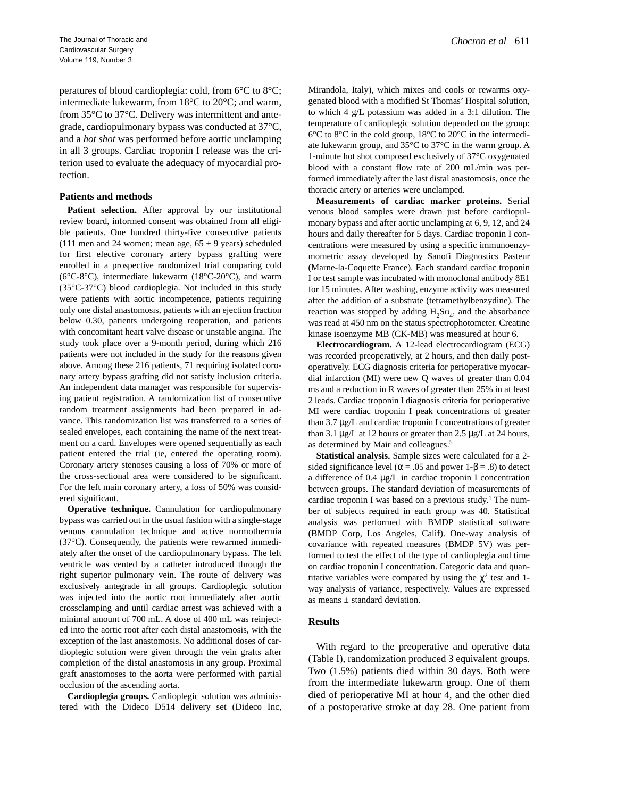peratures of blood cardioplegia: cold, from 6°C to 8°C; intermediate lukewarm, from 18°C to 20°C; and warm, from 35°C to 37°C. Delivery was intermittent and antegrade, cardiopulmonary bypass was conducted at 37°C, and a *hot shot* was performed before aortic unclamping in all 3 groups. Cardiac troponin I release was the criterion used to evaluate the adequacy of myocardial protection.

### **Patients and methods**

Patient selection. After approval by our institutional review board, informed consent was obtained from all eligible patients. One hundred thirty-five consecutive patients (111 men and 24 women; mean age,  $65 \pm 9$  years) scheduled for first elective coronary artery bypass grafting were enrolled in a prospective randomized trial comparing cold (6°C-8°C), intermediate lukewarm (18°C-20°C), and warm (35°C-37°C) blood cardioplegia. Not included in this study were patients with aortic incompetence, patients requiring only one distal anastomosis, patients with an ejection fraction below 0.30, patients undergoing reoperation, and patients with concomitant heart valve disease or unstable angina. The study took place over a 9-month period, during which 216 patients were not included in the study for the reasons given above. Among these 216 patients, 71 requiring isolated coronary artery bypass grafting did not satisfy inclusion criteria. An independent data manager was responsible for supervising patient registration. A randomization list of consecutive random treatment assignments had been prepared in advance. This randomization list was transferred to a series of sealed envelopes, each containing the name of the next treatment on a card. Envelopes were opened sequentially as each patient entered the trial (ie, entered the operating room). Coronary artery stenoses causing a loss of 70% or more of the cross-sectional area were considered to be significant. For the left main coronary artery, a loss of 50% was considered significant.

**Operative technique.** Cannulation for cardiopulmonary bypass was carried out in the usual fashion with a single-stage venous cannulation technique and active normothermia (37°C). Consequently, the patients were rewarmed immediately after the onset of the cardiopulmonary bypass. The left ventricle was vented by a catheter introduced through the right superior pulmonary vein. The route of delivery was exclusively antegrade in all groups. Cardioplegic solution was injected into the aortic root immediately after aortic crossclamping and until cardiac arrest was achieved with a minimal amount of 700 mL. A dose of 400 mL was reinjected into the aortic root after each distal anastomosis, with the exception of the last anastomosis. No additional doses of cardioplegic solution were given through the vein grafts after completion of the distal anastomosis in any group. Proximal graft anastomoses to the aorta were performed with partial occlusion of the ascending aorta.

**Cardioplegia groups.** Cardioplegic solution was administered with the Dideco D514 delivery set (Dideco Inc, Mirandola, Italy), which mixes and cools or rewarms oxygenated blood with a modified St Thomas' Hospital solution, to which 4 g/L potassium was added in a 3:1 dilution. The temperature of cardioplegic solution depended on the group: 6°C to 8°C in the cold group, 18°C to 20°C in the intermediate lukewarm group, and 35°C to 37°C in the warm group. A 1-minute hot shot composed exclusively of 37°C oxygenated blood with a constant flow rate of 200 mL/min was performed immediately after the last distal anastomosis, once the thoracic artery or arteries were unclamped.

**Measurements of cardiac marker proteins.** Serial venous blood samples were drawn just before cardiopulmonary bypass and after aortic unclamping at 6, 9, 12, and 24 hours and daily thereafter for 5 days. Cardiac troponin I concentrations were measured by using a specific immunoenzymometric assay developed by Sanofi Diagnostics Pasteur (Marne-la-Coquette France). Each standard cardiac troponin I or test sample was incubated with monoclonal antibody 8E1 for 15 minutes. After washing, enzyme activity was measured after the addition of a substrate (tetramethylbenzydine). The reaction was stopped by adding  $H_2SO_4$ , and the absorbance was read at 450 nm on the status spectrophotometer. Creatine kinase isoenzyme MB (CK-MB) was measured at hour 6.

**Electrocardiogram.** A 12-lead electrocardiogram (ECG) was recorded preoperatively, at 2 hours, and then daily postoperatively. ECG diagnosis criteria for perioperative myocardial infarction (MI) were new Q waves of greater than 0.04 ms and a reduction in R waves of greater than 25% in at least 2 leads. Cardiac troponin I diagnosis criteria for perioperative MI were cardiac troponin I peak concentrations of greater than 3.7 µg/L and cardiac troponin I concentrations of greater than 3.1  $\mu$ g/L at 12 hours or greater than 2.5  $\mu$ g/L at 24 hours, as determined by Mair and colleagues.5

**Statistical analysis.** Sample sizes were calculated for a 2 sided significance level ( $\alpha$  = .05 and power 1- $\beta$  = .8) to detect a difference of 0.4 µg/L in cardiac troponin I concentration between groups. The standard deviation of measurements of cardiac troponin I was based on a previous study.<sup>1</sup> The number of subjects required in each group was 40. Statistical analysis was performed with BMDP statistical software (BMDP Corp, Los Angeles, Calif). One-way analysis of covariance with repeated measures (BMDP 5V) was performed to test the effect of the type of cardioplegia and time on cardiac troponin I concentration. Categoric data and quantitative variables were compared by using the  $\chi^2$  test and 1way analysis of variance, respectively. Values are expressed as means ± standard deviation.

#### **Results**

With regard to the preoperative and operative data (Table I), randomization produced 3 equivalent groups. Two (1.5%) patients died within 30 days. Both were from the intermediate lukewarm group. One of them died of perioperative MI at hour 4, and the other died of a postoperative stroke at day 28. One patient from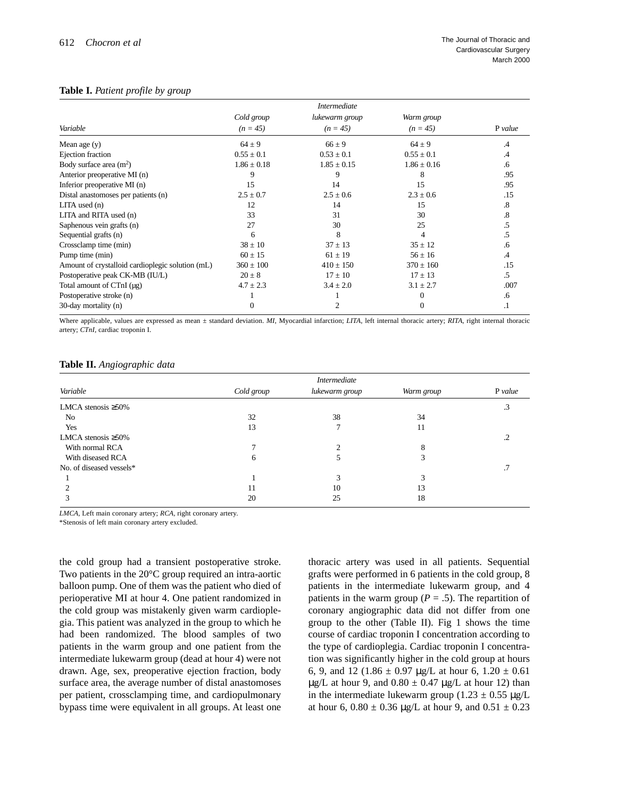#### **Table I.** *Patient profile by group*

|                                                  |                 | <i>Intermediate</i> |                 |               |
|--------------------------------------------------|-----------------|---------------------|-----------------|---------------|
|                                                  | Cold group      | lukewarm group      | Warm group      |               |
| Variable                                         | $(n = 45)$      | $(n = 45)$          | $(n = 45)$      | P value       |
| Mean age (y)                                     | $64 \pm 9$      | $66 \pm 9$          | $64 \pm 9$      | $\mathcal{A}$ |
| Ejection fraction                                | $0.55 \pm 0.1$  | $0.53 \pm 0.1$      | $0.55 \pm 0.1$  | $\mathcal{A}$ |
| Body surface area $(m2)$                         | $1.86 \pm 0.18$ | $1.85 \pm 0.15$     | $1.86 \pm 0.16$ | .6            |
| Anterior preoperative MI (n)                     | 9               | 9                   | 8               | .95           |
| Inferior preoperative MI (n)                     | 15              | 14                  | 15              | .95           |
| Distal anastomoses per patients (n)              | $2.5 \pm 0.7$   | $2.5 \pm 0.6$       | $2.3 \pm 0.6$   | .15           |
| $LITA$ used $(n)$                                | 12              | 14                  | 15              | .8            |
| LITA and RITA used $(n)$                         | 33              | 31                  | 30              | .8            |
| Saphenous vein grafts (n)                        | 27              | 30                  | 25              | .5            |
| Sequential grafts (n)                            | 6               | 8                   |                 |               |
| Crossclamp time (min)                            | $38 \pm 10$     | $37 \pm 13$         | $35 \pm 12$     | .6            |
| Pump time (min)                                  | $60 \pm 15$     | $61 \pm 19$         | $56 \pm 16$     | .4            |
| Amount of crystalloid cardioplegic solution (mL) | $360 \pm 100$   | $410 \pm 150$       | $370 \pm 160$   | .15           |
| Postoperative peak CK-MB (IU/L)                  | $20 \pm 8$      | $17 \pm 10$         | $17 \pm 13$     | .5            |
| Total amount of CTnI (µg)                        | $4.7 \pm 2.3$   | $3.4 \pm 2.0$       | $3.1 \pm 2.7$   | .007          |
| Postoperative stroke (n)                         |                 |                     |                 | .6            |
| 30-day mortality (n)                             | $\Omega$        |                     | $\Omega$        | .1            |

Where applicable, values are expressed as mean ± standard deviation. *MI*, Myocardial infarction; *LITA*, left internal thoracic artery; *RITA*, right internal thoracic artery; *CTnI,* cardiac troponin I.

#### **Table II.** *Angiographic data*

| Variable                  | <i>Intermediate</i> |                |            |         |
|---------------------------|---------------------|----------------|------------|---------|
|                           | Cold group          | lukewarm group | Warm group | P value |
| LMCA stenosis $\geq 50\%$ |                     |                |            | د.      |
| No                        | 32                  | 38             | 34         |         |
| Yes                       | 13                  | Ξ              | 11         |         |
| LMCA stenosis $\geq 50\%$ |                     |                |            |         |
| With normal RCA           |                     | ◠              | 8          |         |
| With diseased RCA         | 6                   | ͻ              |            |         |
| No. of diseased vessels*  |                     |                |            |         |
|                           |                     | 3              |            |         |
|                           | 11                  | 10             | 13         |         |
|                           | 20                  | 25             | 18         |         |

*LMCA,* Left main coronary artery; *RCA,* right coronary artery.

\*Stenosis of left main coronary artery excluded.

the cold group had a transient postoperative stroke. Two patients in the 20°C group required an intra-aortic balloon pump. One of them was the patient who died of perioperative MI at hour 4. One patient randomized in the cold group was mistakenly given warm cardioplegia. This patient was analyzed in the group to which he had been randomized. The blood samples of two patients in the warm group and one patient from the intermediate lukewarm group (dead at hour 4) were not drawn. Age, sex, preoperative ejection fraction, body surface area, the average number of distal anastomoses per patient, crossclamping time, and cardiopulmonary bypass time were equivalent in all groups. At least one

thoracic artery was used in all patients. Sequential grafts were performed in 6 patients in the cold group, 8 patients in the intermediate lukewarm group, and 4 patients in the warm group ( $P = .5$ ). The repartition of coronary angiographic data did not differ from one group to the other (Table II). Fig 1 shows the time course of cardiac troponin I concentration according to the type of cardioplegia. Cardiac troponin I concentration was significantly higher in the cold group at hours 6, 9, and 12 (1.86  $\pm$  0.97 µg/L at hour 6, 1.20  $\pm$  0.61  $\mu$ g/L at hour 9, and 0.80  $\pm$  0.47  $\mu$ g/L at hour 12) than in the intermediate lukewarm group ( $1.23 \pm 0.55 \mu$ g/L at hour 6,  $0.80 \pm 0.36$  µg/L at hour 9, and  $0.51 \pm 0.23$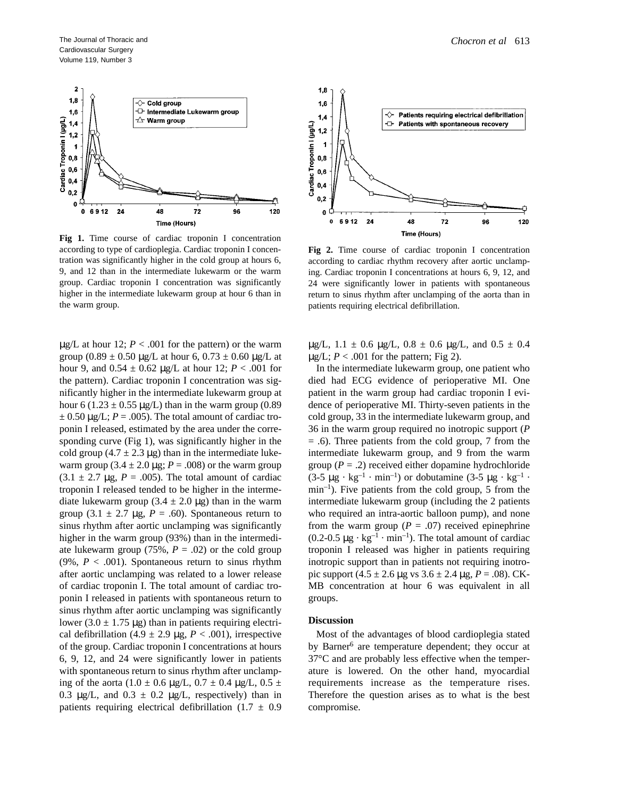

**Fig 1.** Time course of cardiac troponin I concentration according to type of cardioplegia. Cardiac troponin I concentration was significantly higher in the cold group at hours 6, 9, and 12 than in the intermediate lukewarm or the warm group. Cardiac troponin I concentration was significantly higher in the intermediate lukewarm group at hour 6 than in the warm group.

 $\mu$ g/L at hour 12; *P* < .001 for the pattern) or the warm group  $(0.89 \pm 0.50 \,\text{µg/L}$  at hour 6,  $0.73 \pm 0.60 \,\text{µg/L}$  at hour 9, and 0.54 ± 0.62 µg/L at hour 12; *P* < .001 for the pattern). Cardiac troponin I concentration was significantly higher in the intermediate lukewarm group at hour 6 (1.23  $\pm$  0.55 µg/L) than in the warm group (0.89  $\pm$  0.50  $\mu$ g/L; *P* = .005). The total amount of cardiac troponin I released, estimated by the area under the corresponding curve (Fig 1), was significantly higher in the cold group (4.7  $\pm$  2.3 µg) than in the intermediate lukewarm group  $(3.4 \pm 2.0 \,\mu$ g;  $P = .008)$  or the warm group  $(3.1 \pm 2.7 \mu g, P = .005)$ . The total amount of cardiac troponin I released tended to be higher in the intermediate lukewarm group  $(3.4 \pm 2.0 \,\mu$ g) than in the warm group (3.1  $\pm$  2.7 µg, *P* = .60). Spontaneous return to sinus rhythm after aortic unclamping was significantly higher in the warm group (93%) than in the intermediate lukewarm group (75%,  $P = .02$ ) or the cold group (9%,  $P < .001$ ). Spontaneous return to sinus rhythm after aortic unclamping was related to a lower release of cardiac troponin I. The total amount of cardiac troponin I released in patients with spontaneous return to sinus rhythm after aortic unclamping was significantly lower  $(3.0 \pm 1.75 \,\mu g)$  than in patients requiring electrical defibrillation (4.9  $\pm$  2.9 µg, *P* < .001), irrespective of the group. Cardiac troponin I concentrations at hours 6, 9, 12, and 24 were significantly lower in patients with spontaneous return to sinus rhythm after unclamping of the aorta (1.0  $\pm$  0.6 µg/L, 0.7  $\pm$  0.4 µg/L, 0.5  $\pm$ 0.3  $\mu$ g/L, and 0.3  $\pm$  0.2  $\mu$ g/L, respectively) than in patients requiring electrical defibrillation  $(1.7 \pm 0.9)$ 



**Fig 2.** Time course of cardiac troponin I concentration according to cardiac rhythm recovery after aortic unclamping. Cardiac troponin I concentrations at hours 6, 9, 12, and 24 were significantly lower in patients with spontaneous return to sinus rhythm after unclamping of the aorta than in patients requiring electrical defibrillation.

 $\mu$ g/L, 1.1  $\pm$  0.6  $\mu$ g/L, 0.8  $\pm$  0.6  $\mu$ g/L, and 0.5  $\pm$  0.4  $\mu$ g/L; *P* < .001 for the pattern; Fig 2).

In the intermediate lukewarm group, one patient who died had ECG evidence of perioperative MI. One patient in the warm group had cardiac troponin I evidence of perioperative MI. Thirty-seven patients in the cold group, 33 in the intermediate lukewarm group, and 36 in the warm group required no inotropic support (*P* = .6). Three patients from the cold group, 7 from the intermediate lukewarm group, and 9 from the warm group  $(P = .2)$  received either dopamine hydrochloride  $(3-5 \mu g \cdot kg^{-1} \cdot min^{-1})$  or dobutamine  $(3-5 \mu g \cdot kg^{-1} \cdot m)$  $min^{-1}$ ). Five patients from the cold group, 5 from the intermediate lukewarm group (including the 2 patients who required an intra-aortic balloon pump), and none from the warm group  $(P = .07)$  received epinephrine  $(0.2-0.5 \mu g \cdot kg^{-1} \cdot min^{-1})$ . The total amount of cardiac troponin I released was higher in patients requiring inotropic support than in patients not requiring inotropic support  $(4.5 \pm 2.6 \,\text{µg} \text{ vs } 3.6 \pm 2.4 \,\text{µg}, P = .08)$ . CK-MB concentration at hour 6 was equivalent in all groups.

#### **Discussion**

Most of the advantages of blood cardioplegia stated by Barner<sup>6</sup> are temperature dependent; they occur at 37°C and are probably less effective when the temperature is lowered. On the other hand, myocardial requirements increase as the temperature rises. Therefore the question arises as to what is the best compromise.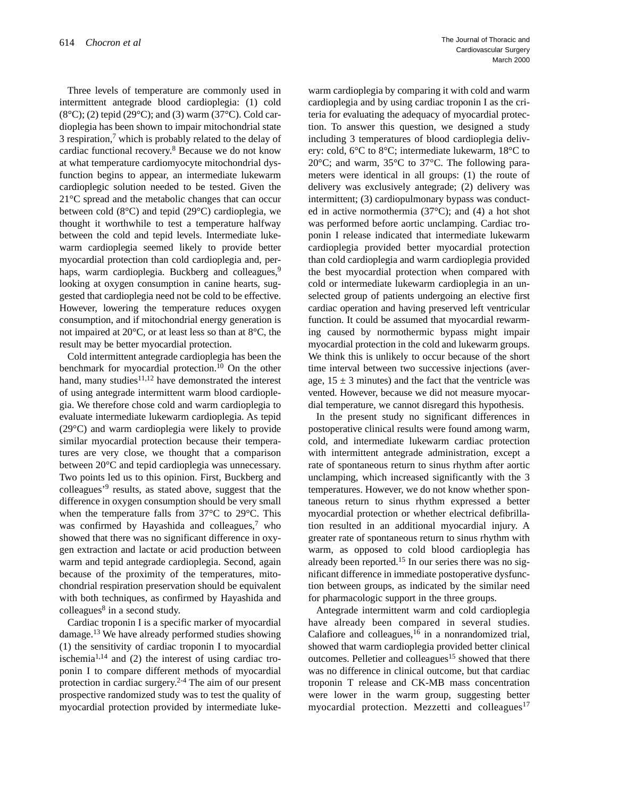Three levels of temperature are commonly used in intermittent antegrade blood cardioplegia: (1) cold  $(8^{\circ}C)$ ; (2) tepid (29 $^{\circ}C$ ); and (3) warm (37 $^{\circ}C$ ). Cold cardioplegia has been shown to impair mitochondrial state 3 respiration, $\frac{7}{1}$  which is probably related to the delay of cardiac functional recovery.8 Because we do not know at what temperature cardiomyocyte mitochondrial dysfunction begins to appear, an intermediate lukewarm cardioplegic solution needed to be tested. Given the 21°C spread and the metabolic changes that can occur between cold (8°C) and tepid (29°C) cardioplegia, we thought it worthwhile to test a temperature halfway between the cold and tepid levels. Intermediate lukewarm cardioplegia seemed likely to provide better myocardial protection than cold cardioplegia and, perhaps, warm cardioplegia. Buckberg and colleagues,<sup>9</sup> looking at oxygen consumption in canine hearts, suggested that cardioplegia need not be cold to be effective. However, lowering the temperature reduces oxygen consumption, and if mitochondrial energy generation is not impaired at 20°C, or at least less so than at 8°C, the result may be better myocardial protection.

Cold intermittent antegrade cardioplegia has been the benchmark for myocardial protection.10 On the other hand, many studies<sup>11,12</sup> have demonstrated the interest of using antegrade intermittent warm blood cardioplegia. We therefore chose cold and warm cardioplegia to evaluate intermediate lukewarm cardioplegia. As tepid (29°C) and warm cardioplegia were likely to provide similar myocardial protection because their temperatures are very close, we thought that a comparison between 20°C and tepid cardioplegia was unnecessary. Two points led us to this opinion. First, Buckberg and colleagues'9 results, as stated above, suggest that the difference in oxygen consumption should be very small when the temperature falls from 37°C to 29°C. This was confirmed by Hayashida and colleagues, $7$  who showed that there was no significant difference in oxygen extraction and lactate or acid production between warm and tepid antegrade cardioplegia. Second, again because of the proximity of the temperatures, mitochondrial respiration preservation should be equivalent with both techniques, as confirmed by Hayashida and  $\text{colle}$ agues<sup>8</sup> in a second study.

Cardiac troponin I is a specific marker of myocardial damage.13 We have already performed studies showing (1) the sensitivity of cardiac troponin I to myocardial ischemia<sup>1,14</sup> and  $(2)$  the interest of using cardiac troponin I to compare different methods of myocardial protection in cardiac surgery.2-4 The aim of our present prospective randomized study was to test the quality of myocardial protection provided by intermediate lukewarm cardioplegia by comparing it with cold and warm cardioplegia and by using cardiac troponin I as the criteria for evaluating the adequacy of myocardial protection. To answer this question, we designed a study including 3 temperatures of blood cardioplegia delivery: cold, 6°C to 8°C; intermediate lukewarm, 18°C to 20°C; and warm, 35°C to 37°C. The following parameters were identical in all groups: (1) the route of delivery was exclusively antegrade; (2) delivery was intermittent; (3) cardiopulmonary bypass was conducted in active normothermia  $(37^{\circ}C)$ ; and  $(4)$  a hot shot was performed before aortic unclamping. Cardiac troponin I release indicated that intermediate lukewarm cardioplegia provided better myocardial protection than cold cardioplegia and warm cardioplegia provided the best myocardial protection when compared with cold or intermediate lukewarm cardioplegia in an unselected group of patients undergoing an elective first cardiac operation and having preserved left ventricular function. It could be assumed that myocardial rewarming caused by normothermic bypass might impair myocardial protection in the cold and lukewarm groups. We think this is unlikely to occur because of the short time interval between two successive injections (average,  $15 \pm 3$  minutes) and the fact that the ventricle was vented. However, because we did not measure myocardial temperature, we cannot disregard this hypothesis.

In the present study no significant differences in postoperative clinical results were found among warm, cold, and intermediate lukewarm cardiac protection with intermittent antegrade administration, except a rate of spontaneous return to sinus rhythm after aortic unclamping, which increased significantly with the 3 temperatures. However, we do not know whether spontaneous return to sinus rhythm expressed a better myocardial protection or whether electrical defibrillation resulted in an additional myocardial injury. A greater rate of spontaneous return to sinus rhythm with warm, as opposed to cold blood cardioplegia has already been reported.<sup>15</sup> In our series there was no significant difference in immediate postoperative dysfunction between groups, as indicated by the similar need for pharmacologic support in the three groups.

Antegrade intermittent warm and cold cardioplegia have already been compared in several studies. Calafiore and colleagues,  $16$  in a nonrandomized trial, showed that warm cardioplegia provided better clinical outcomes. Pelletier and colleagues<sup>15</sup> showed that there was no difference in clinical outcome, but that cardiac troponin T release and CK-MB mass concentration were lower in the warm group, suggesting better myocardial protection. Mezzetti and colleagues $17$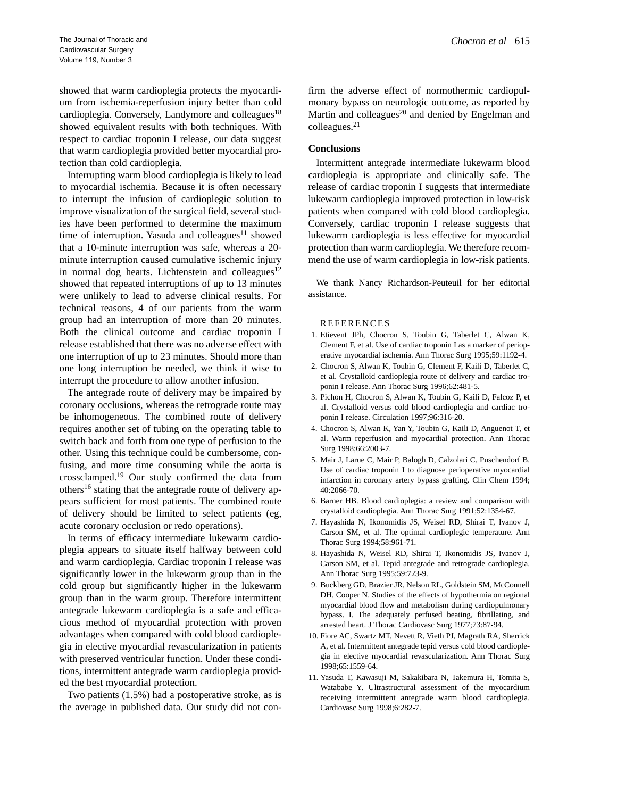showed that warm cardioplegia protects the myocardium from ischemia-reperfusion injury better than cold cardioplegia. Conversely, Landymore and colleagues<sup>18</sup> showed equivalent results with both techniques. With respect to cardiac troponin I release, our data suggest that warm cardioplegia provided better myocardial protection than cold cardioplegia.

Interrupting warm blood cardioplegia is likely to lead to myocardial ischemia. Because it is often necessary to interrupt the infusion of cardioplegic solution to improve visualization of the surgical field, several studies have been performed to determine the maximum time of interruption. Yasuda and colleagues<sup>11</sup> showed that a 10-minute interruption was safe, whereas a 20 minute interruption caused cumulative ischemic injury in normal dog hearts. Lichtenstein and colleagues $12$ showed that repeated interruptions of up to 13 minutes were unlikely to lead to adverse clinical results. For technical reasons, 4 of our patients from the warm group had an interruption of more than 20 minutes. Both the clinical outcome and cardiac troponin I release established that there was no adverse effect with one interruption of up to 23 minutes. Should more than one long interruption be needed, we think it wise to interrupt the procedure to allow another infusion.

The antegrade route of delivery may be impaired by coronary occlusions, whereas the retrograde route may be inhomogeneous. The combined route of delivery requires another set of tubing on the operating table to switch back and forth from one type of perfusion to the other. Using this technique could be cumbersome, confusing, and more time consuming while the aorta is crossclamped.<sup>19</sup> Our study confirmed the data from others<sup>16</sup> stating that the antegrade route of delivery appears sufficient for most patients. The combined route of delivery should be limited to select patients (eg, acute coronary occlusion or redo operations).

In terms of efficacy intermediate lukewarm cardioplegia appears to situate itself halfway between cold and warm cardioplegia. Cardiac troponin I release was significantly lower in the lukewarm group than in the cold group but significantly higher in the lukewarm group than in the warm group. Therefore intermittent antegrade lukewarm cardioplegia is a safe and efficacious method of myocardial protection with proven advantages when compared with cold blood cardioplegia in elective myocardial revascularization in patients with preserved ventricular function. Under these conditions, intermittent antegrade warm cardioplegia provided the best myocardial protection.

Two patients (1.5%) had a postoperative stroke, as is the average in published data. Our study did not confirm the adverse effect of normothermic cardiopulmonary bypass on neurologic outcome, as reported by Martin and colleagues<sup>20</sup> and denied by Engelman and colleagues.21

### **Conclusions**

Intermittent antegrade intermediate lukewarm blood cardioplegia is appropriate and clinically safe. The release of cardiac troponin I suggests that intermediate lukewarm cardioplegia improved protection in low-risk patients when compared with cold blood cardioplegia. Conversely, cardiac troponin I release suggests that lukewarm cardioplegia is less effective for myocardial protection than warm cardioplegia. We therefore recommend the use of warm cardioplegia in low-risk patients.

We thank Nancy Richardson-Peuteuil for her editorial assistance.

#### REFERENCES

- 1. Etievent JPh, Chocron S, Toubin G, Taberlet C, Alwan K, Clement F, et al. Use of cardiac troponin I as a marker of perioperative myocardial ischemia. Ann Thorac Surg 1995;59:1192-4.
- 2. Chocron S, Alwan K, Toubin G, Clement F, Kaili D, Taberlet C, et al. Crystalloid cardioplegia route of delivery and cardiac troponin I release. Ann Thorac Surg 1996;62:481-5.
- 3. Pichon H, Chocron S, Alwan K, Toubin G, Kaili D, Falcoz P, et al. Crystalloid versus cold blood cardioplegia and cardiac troponin I release. Circulation 1997;96:316-20.
- 4. Chocron S, Alwan K, Yan Y, Toubin G, Kaili D, Anguenot T, et al. Warm reperfusion and myocardial protection. Ann Thorac Surg 1998;66:2003-7.
- 5. Mair J, Larue C, Mair P, Balogh D, Calzolari C, Puschendorf B. Use of cardiac troponin I to diagnose perioperative myocardial infarction in coronary artery bypass grafting. Clin Chem 1994; 40:2066-70.
- 6. Barner HB. Blood cardioplegia: a review and comparison with crystalloid cardioplegia. Ann Thorac Surg 1991;52:1354-67.
- 7. Hayashida N, Ikonomidis JS, Weisel RD, Shirai T, Ivanov J, Carson SM, et al. The optimal cardioplegic temperature. Ann Thorac Surg 1994;58:961-71.
- 8. Hayashida N, Weisel RD, Shirai T, Ikonomidis JS, Ivanov J, Carson SM, et al. Tepid antegrade and retrograde cardioplegia. Ann Thorac Surg 1995;59:723-9.
- 9. Buckberg GD, Brazier JR, Nelson RL, Goldstein SM, McConnell DH, Cooper N. Studies of the effects of hypothermia on regional myocardial blood flow and metabolism during cardiopulmonary bypass. I. The adequately perfused beating, fibrillating, and arrested heart. J Thorac Cardiovasc Surg 1977;73:87-94.
- 10. Fiore AC, Swartz MT, Nevett R, Vieth PJ, Magrath RA, Sherrick A, et al. Intermittent antegrade tepid versus cold blood cardioplegia in elective myocardial revascularization. Ann Thorac Surg 1998;65:1559-64.
- 11. Yasuda T, Kawasuji M, Sakakibara N, Takemura H, Tomita S, Watababe Y. Ultrastructural assessment of the myocardium receiving intermittent antegrade warm blood cardioplegia. Cardiovasc Surg 1998;6:282-7.